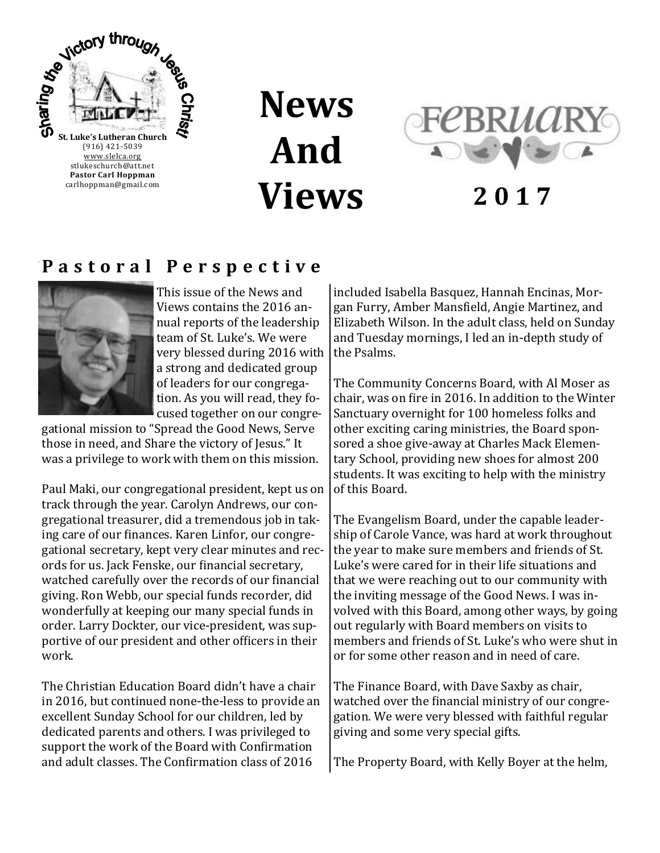

**News And Views**



**2 0 1 7**

### **P a s t o r a l P e r s p e c t i v e**



This issue of the News and Views contains the 2016 annual reports of the leadership team of St. Luke's. We were very blessed during 2016 with a strong and dedicated group of leaders for our congregation. As you will read, they focused together on our congre-

gational mission to "Spread the Good News, Serve those in need, and Share the victory of Jesus." It was a privilege to work with them on this mission.

Paul Maki, our congregational president, kept us on track through the year. Carolyn Andrews, our congregational treasurer, did a tremendous job in taking care of our finances. Karen Linfor, our congregational secretary, kept very clear minutes and records for us. Jack Fenske, our financial secretary, watched carefully over the records of our financial giving. Ron Webb, our special funds recorder, did wonderfully at keeping our many special funds in order. Larry Dockter, our vice-president, was supportive of our president and other officers in their work.

The Christian Education Board didn't have a chair in 2016, but continued none-the-less to provide an excellent Sunday School for our children, led by dedicated parents and others. I was privileged to support the work of the Board with Confirmation and adult classes. The Confirmation class of 2016

included Isabella Basquez, Hannah Encinas, Morgan Furry, Amber Mansfield, Angie Martinez, and Elizabeth Wilson. In the adult class, held on Sunday and Tuesday mornings, I led an in-depth study of the Psalms.

The Community Concerns Board, with Al Moser as chair, was on fire in 2016. In addition to the Winter Sanctuary overnight for 100 homeless folks and other exciting caring ministries, the Board sponsored a shoe give-away at Charles Mack Elementary School, providing new shoes for almost 200 students. It was exciting to help with the ministry of this Board.

The Evangelism Board, under the capable leadership of Carole Vance, was hard at work throughout the year to make sure members and friends of St. Luke's were cared for in their life situations and that we were reaching out to our community with the inviting message of the Good News. I was involved with this Board, among other ways, by going out regularly with Board members on visits to members and friends of St. Luke's who were shut in or for some other reason and in need of care.

The Finance Board, with Dave Saxby as chair, watched over the financial ministry of our congregation. We were very blessed with faithful regular giving and some very special gifts.

The Property Board, with Kelly Boyer at the helm,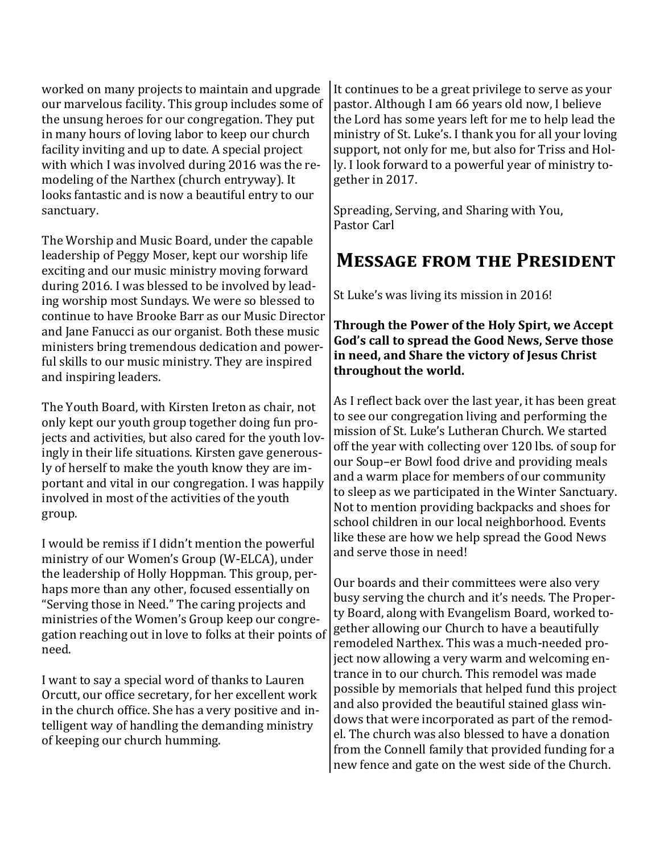worked on many projects to maintain and upgrade our marvelous facility. This group includes some of the unsung heroes for our congregation. They put in many hours of loving labor to keep our church facility inviting and up to date. A special project with which I was involved during 2016 was the remodeling of the Narthex (church entryway). It looks fantastic and is now a beautiful entry to our sanctuary.

The Worship and Music Board, under the capable leadership of Peggy Moser, kept our worship life exciting and our music ministry moving forward during 2016. I was blessed to be involved by leading worship most Sundays. We were so blessed to continue to have Brooke Barr as our Music Director and Jane Fanucci as our organist. Both these music ministers bring tremendous dedication and powerful skills to our music ministry. They are inspired and inspiring leaders.

The Youth Board, with Kirsten Ireton as chair, not only kept our youth group together doing fun projects and activities, but also cared for the youth lovingly in their life situations. Kirsten gave generously of herself to make the youth know they are important and vital in our congregation. I was happily involved in most of the activities of the youth group.

I would be remiss if I didn't mention the powerful ministry of our Women's Group (W-ELCA), under the leadership of Holly Hoppman. This group, perhaps more than any other, focused essentially on "Serving those in Need." The caring projects and ministries of the Women's Group keep our congregation reaching out in love to folks at their points of need.

I want to say a special word of thanks to Lauren Orcutt, our office secretary, for her excellent work in the church office. She has a very positive and intelligent way of handling the demanding ministry of keeping our church humming.

It continues to be a great privilege to serve as your pastor. Although I am 66 years old now, I believe the Lord has some years left for me to help lead the ministry of St. Luke's. I thank you for all your loving support, not only for me, but also for Triss and Holly. I look forward to a powerful year of ministry together in 2017.

Spreading, Serving, and Sharing with You, Pastor Carl

### **Message from the President**

St Luke's was living its mission in 2016!

**Through the Power of the Holy Spirt, we Accept God's call to spread the Good News, Serve those in need, and Share the victory of Jesus Christ throughout the world.**

As I reflect back over the last year, it has been great to see our congregation living and performing the mission of St. Luke's Lutheran Church. We started off the year with collecting over 120 lbs. of soup for our Soup–er Bowl food drive and providing meals and a warm place for members of our community to sleep as we participated in the Winter Sanctuary. Not to mention providing backpacks and shoes for school children in our local neighborhood. Events like these are how we help spread the Good News and serve those in need!

Our boards and their committees were also very busy serving the church and it's needs. The Property Board, along with Evangelism Board, worked together allowing our Church to have a beautifully remodeled Narthex. This was a much-needed project now allowing a very warm and welcoming entrance in to our church. This remodel was made possible by memorials that helped fund this project and also provided the beautiful stained glass windows that were incorporated as part of the remodel. The church was also blessed to have a donation from the Connell family that provided funding for a new fence and gate on the west side of the Church.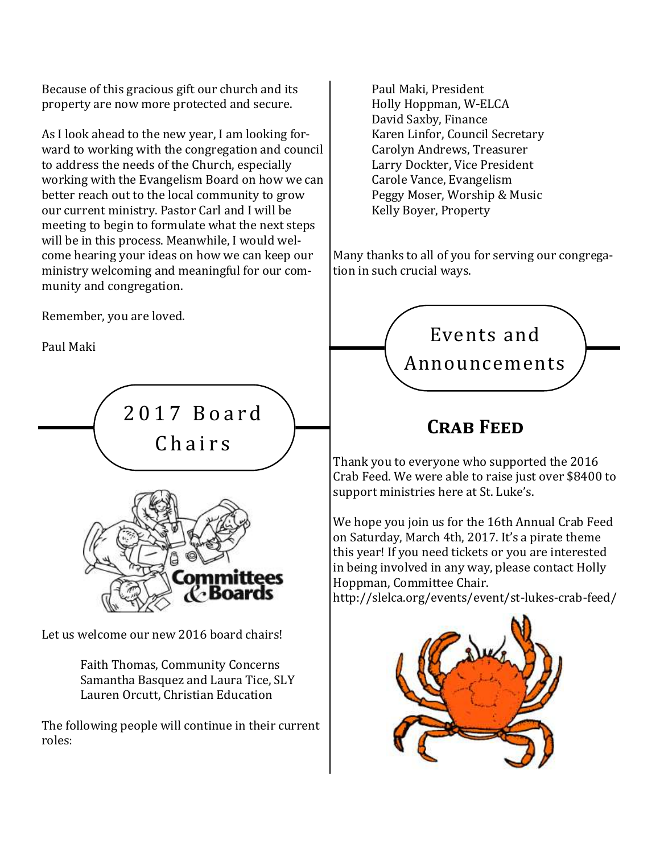Because of this gracious gift our church and its property are now more protected and secure.

As I look ahead to the new year, I am looking forward to working with the congregation and council to address the needs of the Church, especially working with the Evangelism Board on how we can better reach out to the local community to grow our current ministry. Pastor Carl and I will be meeting to begin to formulate what the next steps will be in this process. Meanwhile, I would welcome hearing your ideas on how we can keep our ministry welcoming and meaningful for our community and congregation.

Remember, you are loved.

Paul Maki



Faith Thomas, Community Concerns Samantha Basquez and Laura Tice, SLY Lauren Orcutt, Christian Education

The following people will continue in their current roles:

Paul Maki, President Holly Hoppman, W-ELCA David Saxby, Finance Karen Linfor, Council Secretary Carolyn Andrews, Treasurer Larry Dockter, Vice President Carole Vance, Evangelism Peggy Moser, Worship & Music Kelly Boyer, Property

Many thanks to all of you for serving our congregation in such crucial ways.



# **Crab Feed**

Thank you to everyone who supported the 2016 Crab Feed. We were able to raise just over \$8400 to support ministries here at St. Luke's.

We hope you join us for the 16th Annual Crab Feed on Saturday, March 4th, 2017. It's a pirate theme this year! If you need tickets or you are interested in being involved in any way, please contact Holly Hoppman, Committee Chair. http://slelca.org/events/event/st-lukes-crab-feed/

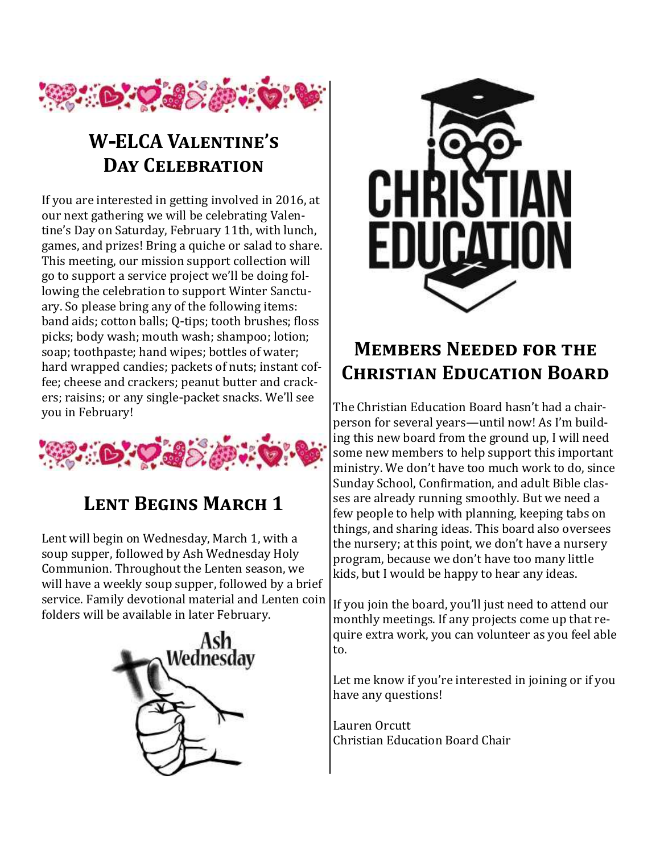

# **W-ELCA Valentine's Day Celebration**

If you are interested in getting involved in 2016, at our next gathering we will be celebrating Valentine's Day on Saturday, February 11th, with lunch, games, and prizes! Bring a quiche or salad to share. This meeting, our mission support collection will go to support a service project we'll be doing following the celebration to support Winter Sanctuary. So please bring any of the following items: band aids; cotton balls; Q-tips; tooth brushes; floss picks; body wash; mouth wash; shampoo; lotion; soap; toothpaste; hand wipes; bottles of water; hard wrapped candies; packets of nuts; instant coffee; cheese and crackers; peanut butter and crackers; raisins; or any single-packet snacks. We'll see you in February!



# **Lent Begins March 1**

Lent will begin on Wednesday, March 1, with a soup supper, followed by Ash Wednesday Holy Communion. Throughout the Lenten season, we will have a weekly soup supper, followed by a brief service. Family devotional material and Lenten coin folders will be available in later February.





# **Members Needed for the Christian Education Board**

The Christian Education Board hasn't had a chairperson for several years—until now! As I'm building this new board from the ground up, I will need some new members to help support this important ministry. We don't have too much work to do, since Sunday School, Confirmation, and adult Bible classes are already running smoothly. But we need a few people to help with planning, keeping tabs on things, and sharing ideas. This board also oversees the nursery; at this point, we don't have a nursery program, because we don't have too many little kids, but I would be happy to hear any ideas.

If you join the board, you'll just need to attend our monthly meetings. If any projects come up that require extra work, you can volunteer as you feel able to.

Let me know if you're interested in joining or if you have any questions!

Lauren Orcutt Christian Education Board Chair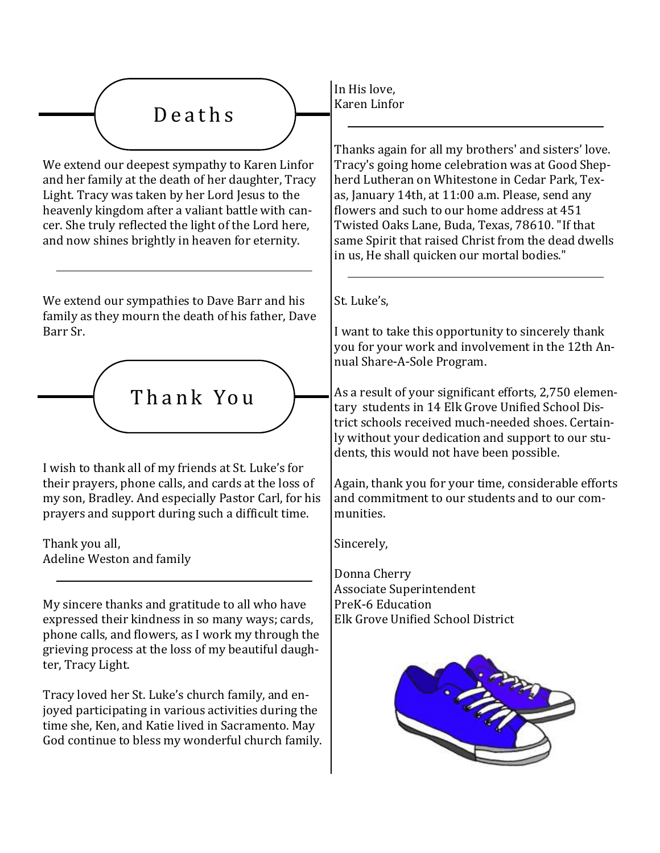

We extend our deepest sympathy to Karen Linfor and her family at the death of her daughter, Tracy Light. Tracy was taken by her Lord Jesus to the heavenly kingdom after a valiant battle with cancer. She truly reflected the light of the Lord here, and now shines brightly in heaven for eternity.

We extend our sympathies to Dave Barr and his family as they mourn the death of his father, Dave Barr Sr.



I wish to thank all of my friends at St. Luke's for their prayers, phone calls, and cards at the loss of my son, Bradley. And especially Pastor Carl, for his prayers and support during such a difficult time.

Thank you all, Adeline Weston and family

My sincere thanks and gratitude to all who have expressed their kindness in so many ways; cards, phone calls, and flowers, as I work my through the grieving process at the loss of my beautiful daughter, Tracy Light.

Tracy loved her St. Luke's church family, and enjoyed participating in various activities during the time she, Ken, and Katie lived in Sacramento. May God continue to bless my wonderful church family. In His love, Karen Linfor

Thanks again for all my brothers' and sisters' love. Tracy's going home celebration was at Good Shepherd Lutheran on Whitestone in Cedar Park, Texas, January 14th, at 11:00 a.m. Please, send any flowers and such to our home address at 451 Twisted Oaks Lane, Buda, Texas, 78610. "If that same Spirit that raised Christ from the dead dwells in us, He shall quicken our mortal bodies."

St. Luke's,

I want to take this opportunity to sincerely thank you for your work and involvement in the 12th Annual Share-A-Sole Program.

As a result of your significant efforts, 2,750 elementary students in 14 Elk Grove Unified School District schools received much-needed shoes. Certainly without your dedication and support to our students, this would not have been possible.

Again, thank you for your time, considerable efforts and commitment to our students and to our communities.

Sincerely,

Donna Cherry Associate Superintendent PreK-6 Education Elk Grove Unified School District

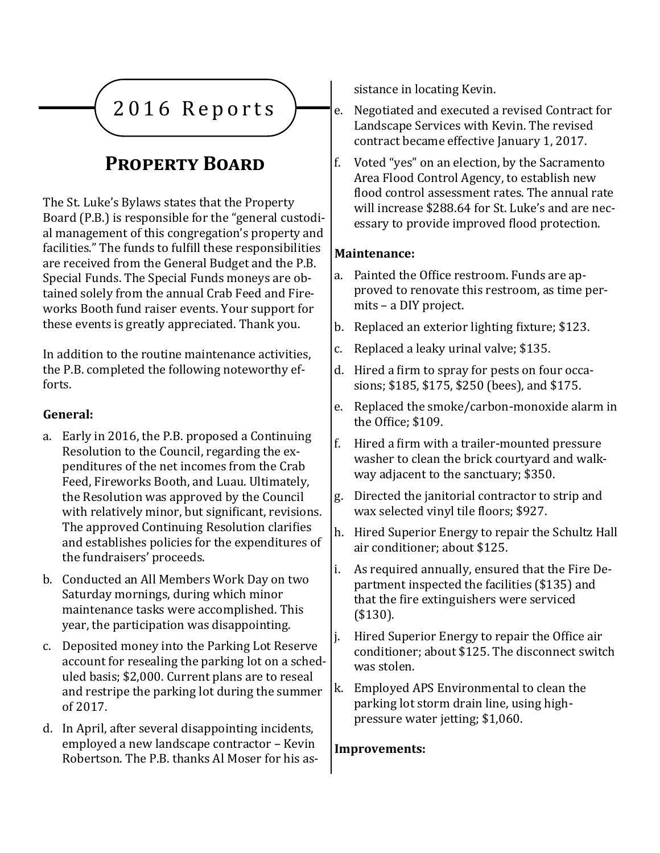

# **Property Board**

The St. Luke's Bylaws states that the Property Board (P.B.) is responsible for the "general custodial management of this congregation's property and facilities." The funds to fulfill these responsibilities are received from the General Budget and the P.B. Special Funds. The Special Funds moneys are obtained solely from the annual Crab Feed and Fireworks Booth fund raiser events. Your support for these events is greatly appreciated. Thank you.

In addition to the routine maintenance activities, the P.B. completed the following noteworthy efforts.

### **General:**

- a. Early in 2016, the P.B. proposed a Continuing Resolution to the Council, regarding the expenditures of the net incomes from the Crab Feed, Fireworks Booth, and Luau. Ultimately, the Resolution was approved by the Council with relatively minor, but significant, revisions. The approved Continuing Resolution clarifies and establishes policies for the expenditures of the fundraisers' proceeds.
- b. Conducted an All Members Work Day on two Saturday mornings, during which minor maintenance tasks were accomplished. This year, the participation was disappointing.
- c. Deposited money into the Parking Lot Reserve account for resealing the parking lot on a scheduled basis; \$2,000. Current plans are to reseal and restripe the parking lot during the summer of 2017.
- d. In April, after several disappointing incidents, employed a new landscape contractor – Kevin Robertson. The P.B. thanks Al Moser for his as-

sistance in locating Kevin.

- e. Negotiated and executed a revised Contract for Landscape Services with Kevin. The revised contract became effective January 1, 2017.
- f. Voted "yes" on an election, by the Sacramento Area Flood Control Agency, to establish new flood control assessment rates. The annual rate will increase \$288.64 for St. Luke's and are necessary to provide improved flood protection.

### **Maintenance:**

- a. Painted the Office restroom. Funds are approved to renovate this restroom, as time permits – a DIY project.
- b. Replaced an exterior lighting fixture; \$123.
- c. Replaced a leaky urinal valve; \$135.
- d. Hired a firm to spray for pests on four occasions; \$185, \$175, \$250 (bees), and \$175.
- e. Replaced the smoke/carbon-monoxide alarm in the Office; \$109.
- f. Hired a firm with a trailer-mounted pressure washer to clean the brick courtyard and walkway adjacent to the sanctuary; \$350.
- g. Directed the janitorial contractor to strip and wax selected vinyl tile floors; \$927.
- h. Hired Superior Energy to repair the Schultz Hall air conditioner; about \$125.
- i. As required annually, ensured that the Fire Department inspected the facilities (\$135) and that the fire extinguishers were serviced (\$130).
- j. Hired Superior Energy to repair the Office air conditioner; about \$125. The disconnect switch was stolen.
- k. Employed APS Environmental to clean the parking lot storm drain line, using highpressure water jetting; \$1,060.

### **Improvements:**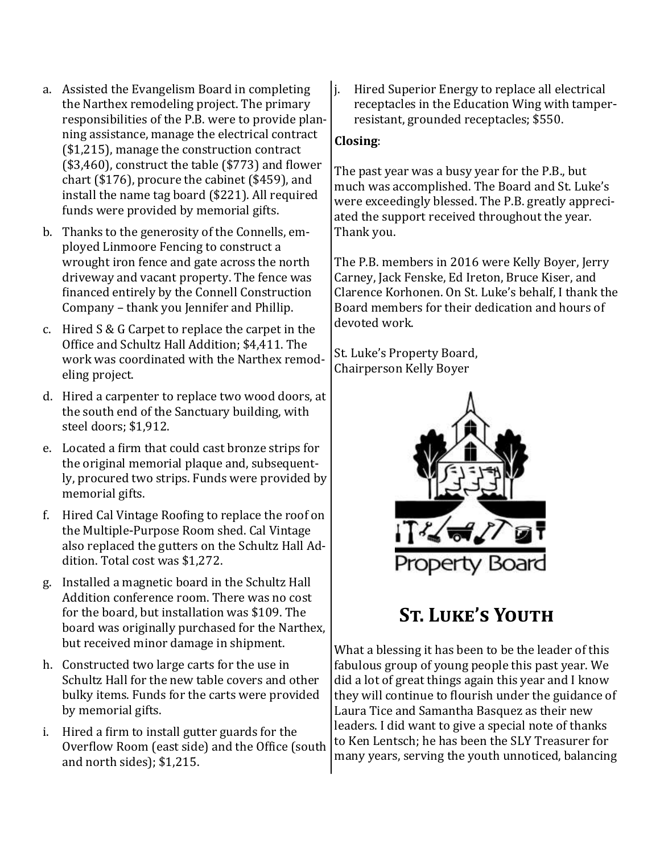- a. Assisted the Evangelism Board in completing the Narthex remodeling project. The primary responsibilities of the P.B. were to provide planning assistance, manage the electrical contract (\$1,215), manage the construction contract (\$3,460), construct the table (\$773) and flower chart (\$176), procure the cabinet (\$459), and install the name tag board (\$221). All required funds were provided by memorial gifts.
- b. Thanks to the generosity of the Connells, employed Linmoore Fencing to construct a wrought iron fence and gate across the north driveway and vacant property. The fence was financed entirely by the Connell Construction Company – thank you Jennifer and Phillip.
- c. Hired S & G Carpet to replace the carpet in the Office and Schultz Hall Addition; \$4,411. The work was coordinated with the Narthex remodeling project.
- d. Hired a carpenter to replace two wood doors, at the south end of the Sanctuary building, with steel doors; \$1,912.
- e. Located a firm that could cast bronze strips for the original memorial plaque and, subsequently, procured two strips. Funds were provided by memorial gifts.
- f. Hired Cal Vintage Roofing to replace the roof on the Multiple-Purpose Room shed. Cal Vintage also replaced the gutters on the Schultz Hall Addition. Total cost was \$1,272.
- g. Installed a magnetic board in the Schultz Hall Addition conference room. There was no cost for the board, but installation was \$109. The board was originally purchased for the Narthex, but received minor damage in shipment.
- h. Constructed two large carts for the use in Schultz Hall for the new table covers and other bulky items. Funds for the carts were provided by memorial gifts.
- i. Hired a firm to install gutter guards for the Overflow Room (east side) and the Office (south and north sides); \$1,215.

j. Hired Superior Energy to replace all electrical receptacles in the Education Wing with tamperresistant, grounded receptacles; \$550.

### **Closing**:

The past year was a busy year for the P.B., but much was accomplished. The Board and St. Luke's were exceedingly blessed. The P.B. greatly appreciated the support received throughout the year. Thank you.

The P.B. members in 2016 were Kelly Boyer, Jerry Carney, Jack Fenske, Ed Ireton, Bruce Kiser, and Clarence Korhonen. On St. Luke's behalf, I thank the Board members for their dedication and hours of devoted work.

St. Luke's Property Board, Chairperson Kelly Boyer



# **St. Luke's Youth**

What a blessing it has been to be the leader of this fabulous group of young people this past year. We did a lot of great things again this year and I know they will continue to flourish under the guidance of Laura Tice and Samantha Basquez as their new leaders. I did want to give a special note of thanks to Ken Lentsch; he has been the SLY Treasurer for many years, serving the youth unnoticed, balancing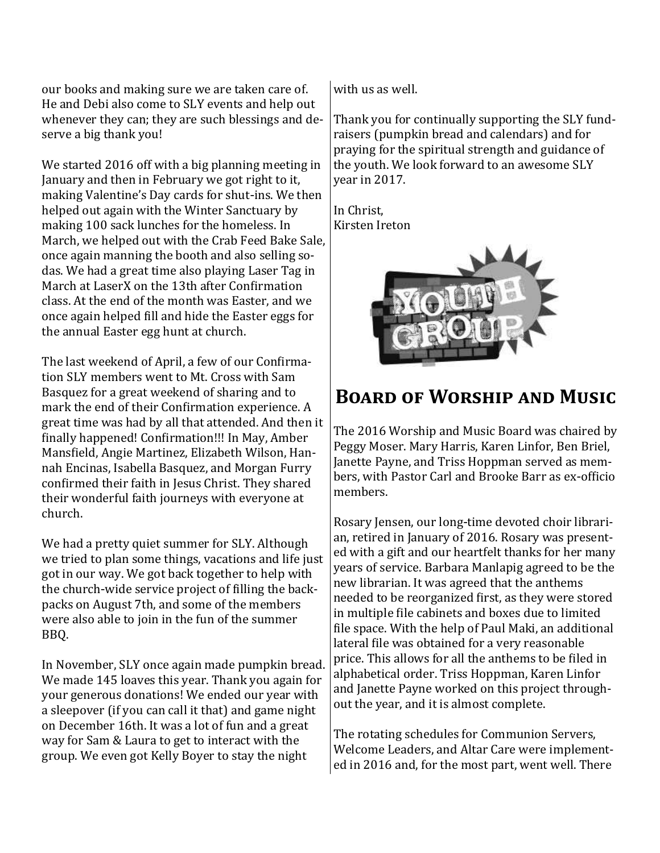our books and making sure we are taken care of. He and Debi also come to SLY events and help out whenever they can; they are such blessings and deserve a big thank you!

We started 2016 off with a big planning meeting in January and then in February we got right to it, making Valentine's Day cards for shut-ins. We then helped out again with the Winter Sanctuary by making 100 sack lunches for the homeless. In March, we helped out with the Crab Feed Bake Sale, once again manning the booth and also selling sodas. We had a great time also playing Laser Tag in March at LaserX on the 13th after Confirmation class. At the end of the month was Easter, and we once again helped fill and hide the Easter eggs for the annual Easter egg hunt at church.

The last weekend of April, a few of our Confirmation SLY members went to Mt. Cross with Sam Basquez for a great weekend of sharing and to mark the end of their Confirmation experience. A great time was had by all that attended. And then it finally happened! Confirmation!!! In May, Amber Mansfield, Angie Martinez, Elizabeth Wilson, Hannah Encinas, Isabella Basquez, and Morgan Furry confirmed their faith in Jesus Christ. They shared their wonderful faith journeys with everyone at church.

We had a pretty quiet summer for SLY. Although we tried to plan some things, vacations and life just got in our way. We got back together to help with the church-wide service project of filling the backpacks on August 7th, and some of the members were also able to join in the fun of the summer BBQ.

In November, SLY once again made pumpkin bread. We made 145 loaves this year. Thank you again for your generous donations! We ended our year with a sleepover (if you can call it that) and game night on December 16th. It was a lot of fun and a great way for Sam & Laura to get to interact with the group. We even got Kelly Boyer to stay the night

with us as well.

Thank you for continually supporting the SLY fundraisers (pumpkin bread and calendars) and for praying for the spiritual strength and guidance of the youth. We look forward to an awesome SLY year in 2017.

In Christ, Kirsten Ireton



### **Board of Worship and Music**

The 2016 Worship and Music Board was chaired by Peggy Moser. Mary Harris, Karen Linfor, Ben Briel, Janette Payne, and Triss Hoppman served as members, with Pastor Carl and Brooke Barr as ex-officio members.

Rosary Jensen, our long-time devoted choir librarian, retired in January of 2016. Rosary was presented with a gift and our heartfelt thanks for her many years of service. Barbara Manlapig agreed to be the new librarian. It was agreed that the anthems needed to be reorganized first, as they were stored in multiple file cabinets and boxes due to limited file space. With the help of Paul Maki, an additional lateral file was obtained for a very reasonable price. This allows for all the anthems to be filed in alphabetical order. Triss Hoppman, Karen Linfor and Janette Payne worked on this project throughout the year, and it is almost complete.

The rotating schedules for Communion Servers, Welcome Leaders, and Altar Care were implemented in 2016 and, for the most part, went well. There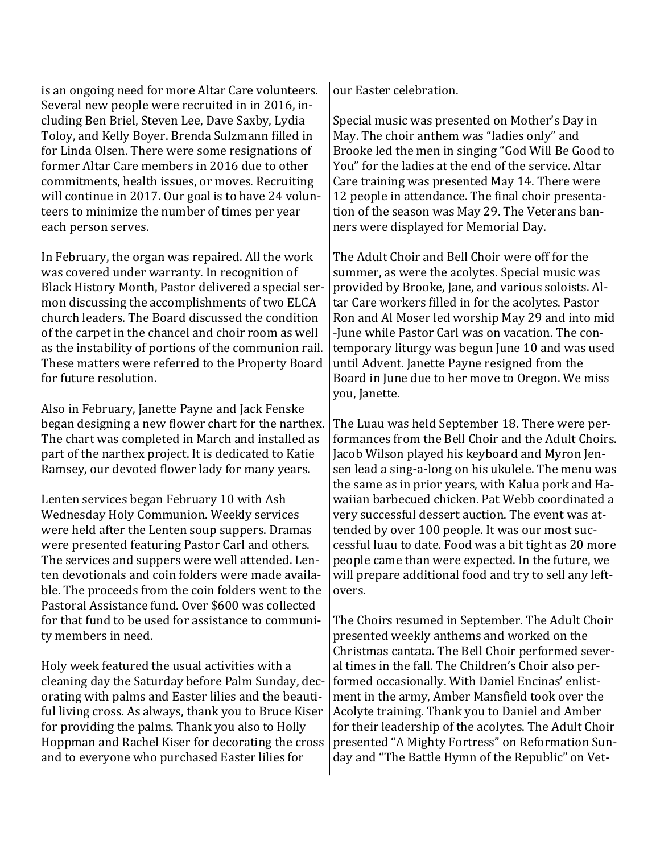is an ongoing need for more Altar Care volunteers. Several new people were recruited in in 2016, including Ben Briel, Steven Lee, Dave Saxby, Lydia Toloy, and Kelly Boyer. Brenda Sulzmann filled in for Linda Olsen. There were some resignations of former Altar Care members in 2016 due to other commitments, health issues, or moves. Recruiting will continue in 2017. Our goal is to have 24 volunteers to minimize the number of times per year each person serves.

In February, the organ was repaired. All the work was covered under warranty. In recognition of Black History Month, Pastor delivered a special sermon discussing the accomplishments of two ELCA church leaders. The Board discussed the condition of the carpet in the chancel and choir room as well as the instability of portions of the communion rail. These matters were referred to the Property Board for future resolution.

Also in February, Janette Payne and Jack Fenske began designing a new flower chart for the narthex. The chart was completed in March and installed as part of the narthex project. It is dedicated to Katie Ramsey, our devoted flower lady for many years.

Lenten services began February 10 with Ash Wednesday Holy Communion. Weekly services were held after the Lenten soup suppers. Dramas were presented featuring Pastor Carl and others. The services and suppers were well attended. Lenten devotionals and coin folders were made available. The proceeds from the coin folders went to the Pastoral Assistance fund. Over \$600 was collected for that fund to be used for assistance to community members in need.

Holy week featured the usual activities with a cleaning day the Saturday before Palm Sunday, decorating with palms and Easter lilies and the beautiful living cross. As always, thank you to Bruce Kiser for providing the palms. Thank you also to Holly Hoppman and Rachel Kiser for decorating the cross and to everyone who purchased Easter lilies for

our Easter celebration.

Special music was presented on Mother's Day in May. The choir anthem was "ladies only" and Brooke led the men in singing "God Will Be Good to You" for the ladies at the end of the service. Altar Care training was presented May 14. There were 12 people in attendance. The final choir presentation of the season was May 29. The Veterans banners were displayed for Memorial Day.

The Adult Choir and Bell Choir were off for the summer, as were the acolytes. Special music was provided by Brooke, Jane, and various soloists. Altar Care workers filled in for the acolytes. Pastor Ron and Al Moser led worship May 29 and into mid -June while Pastor Carl was on vacation. The contemporary liturgy was begun June 10 and was used until Advent. Janette Payne resigned from the Board in June due to her move to Oregon. We miss you, Janette.

The Luau was held September 18. There were performances from the Bell Choir and the Adult Choirs. Jacob Wilson played his keyboard and Myron Jensen lead a sing-a-long on his ukulele. The menu was the same as in prior years, with Kalua pork and Hawaiian barbecued chicken. Pat Webb coordinated a very successful dessert auction. The event was attended by over 100 people. It was our most successful luau to date. Food was a bit tight as 20 more people came than were expected. In the future, we will prepare additional food and try to sell any leftovers.

The Choirs resumed in September. The Adult Choir presented weekly anthems and worked on the Christmas cantata. The Bell Choir performed several times in the fall. The Children's Choir also performed occasionally. With Daniel Encinas' enlistment in the army, Amber Mansfield took over the Acolyte training. Thank you to Daniel and Amber for their leadership of the acolytes. The Adult Choir presented "A Mighty Fortress" on Reformation Sunday and "The Battle Hymn of the Republic" on Vet-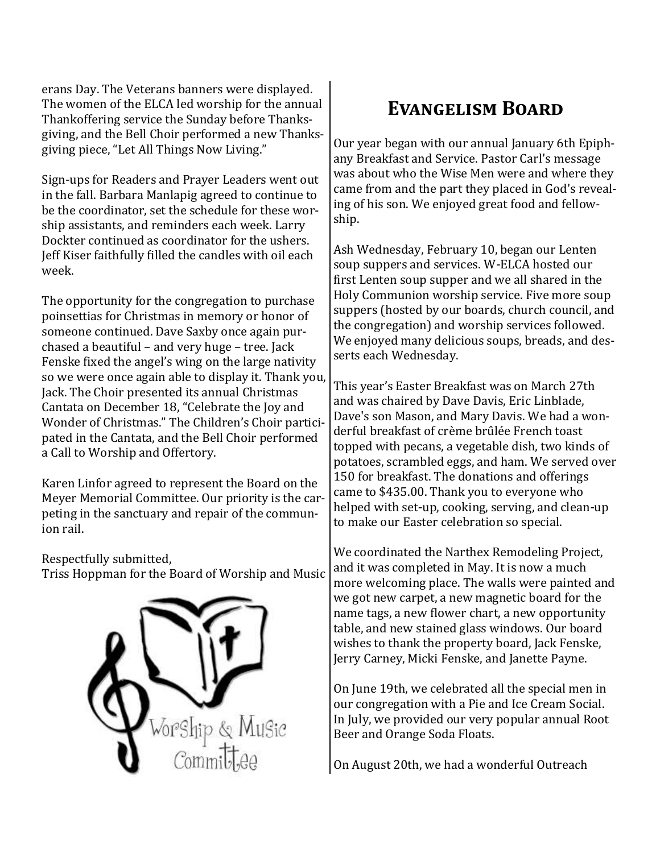erans Day. The Veterans banners were displayed. The women of the ELCA led worship for the annual Thankoffering service the Sunday before Thanksgiving, and the Bell Choir performed a new Thanksgiving piece, "Let All Things Now Living."

Sign-ups for Readers and Prayer Leaders went out in the fall. Barbara Manlapig agreed to continue to be the coordinator, set the schedule for these worship assistants, and reminders each week. Larry Dockter continued as coordinator for the ushers. Jeff Kiser faithfully filled the candles with oil each week.

The opportunity for the congregation to purchase poinsettias for Christmas in memory or honor of someone continued. Dave Saxby once again purchased a beautiful – and very huge – tree. Jack Fenske fixed the angel's wing on the large nativity so we were once again able to display it. Thank you, Jack. The Choir presented its annual Christmas Cantata on December 18, "Celebrate the Joy and Wonder of Christmas." The Children's Choir participated in the Cantata, and the Bell Choir performed a Call to Worship and Offertory.

Karen Linfor agreed to represent the Board on the Meyer Memorial Committee. Our priority is the carpeting in the sanctuary and repair of the communion rail.

Respectfully submitted,

Triss Hoppman for the Board of Worship and Music



### **Evangelism Board**

Our year began with our annual January 6th Epiphany Breakfast and Service. Pastor Carl's message was about who the Wise Men were and where they came from and the part they placed in God's revealing of his son. We enjoyed great food and fellowship.

Ash Wednesday, February 10, began our Lenten soup suppers and services. W-ELCA hosted our first Lenten soup supper and we all shared in the Holy Communion worship service. Five more soup suppers (hosted by our boards, church council, and the congregation) and worship services followed. We enjoyed many delicious soups, breads, and desserts each Wednesday.

This year's Easter Breakfast was on March 27th and was chaired by Dave Davis, Eric Linblade, Dave's son Mason, and Mary Davis. We had a wonderful breakfast of crème brûlée French toast topped with pecans, a vegetable dish, two kinds of potatoes, scrambled eggs, and ham. We served over 150 for breakfast. The donations and offerings came to \$435.00. Thank you to everyone who helped with set-up, cooking, serving, and clean-up to make our Easter celebration so special.

We coordinated the Narthex Remodeling Project, and it was completed in May. It is now a much more welcoming place. The walls were painted and we got new carpet, a new magnetic board for the name tags, a new flower chart, a new opportunity table, and new stained glass windows. Our board wishes to thank the property board, Jack Fenske, Jerry Carney, Micki Fenske, and Janette Payne.

On June 19th, we celebrated all the special men in our congregation with a Pie and Ice Cream Social. In July, we provided our very popular annual Root Beer and Orange Soda Floats.

On August 20th, we had a wonderful Outreach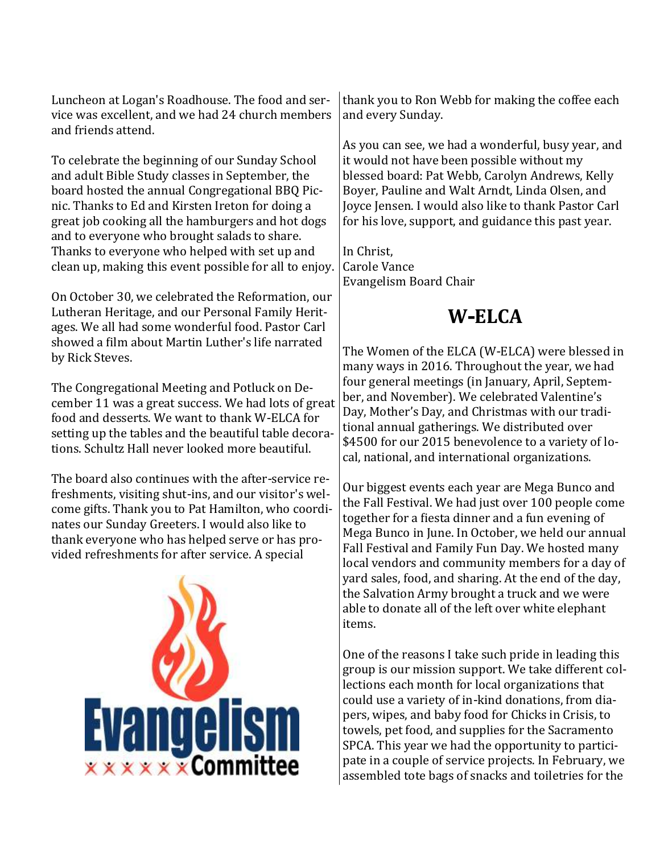Luncheon at Logan's Roadhouse. The food and service was excellent, and we had 24 church members and friends attend.

To celebrate the beginning of our Sunday School and adult Bible Study classes in September, the board hosted the annual Congregational BBQ Picnic. Thanks to Ed and Kirsten Ireton for doing a great job cooking all the hamburgers and hot dogs and to everyone who brought salads to share. Thanks to everyone who helped with set up and clean up, making this event possible for all to enjoy.

On October 30, we celebrated the Reformation, our Lutheran Heritage, and our Personal Family Heritages. We all had some wonderful food. Pastor Carl showed a film about Martin Luther's life narrated by Rick Steves.

The Congregational Meeting and Potluck on December 11 was a great success. We had lots of great food and desserts. We want to thank W-ELCA for setting up the tables and the beautiful table decorations. Schultz Hall never looked more beautiful.

The board also continues with the after-service refreshments, visiting shut-ins, and our visitor's welcome gifts. Thank you to Pat Hamilton, who coordinates our Sunday Greeters. I would also like to thank everyone who has helped serve or has provided refreshments for after service. A special



thank you to Ron Webb for making the coffee each and every Sunday.

As you can see, we had a wonderful, busy year, and it would not have been possible without my blessed board: Pat Webb, Carolyn Andrews, Kelly Boyer, Pauline and Walt Arndt, Linda Olsen, and Joyce Jensen. I would also like to thank Pastor Carl for his love, support, and guidance this past year.

In Christ, Carole Vance Evangelism Board Chair

### **W-ELCA**

The Women of the ELCA (W-ELCA) were blessed in many ways in 2016. Throughout the year, we had four general meetings (in January, April, September, and November). We celebrated Valentine's Day, Mother's Day, and Christmas with our traditional annual gatherings. We distributed over \$4500 for our 2015 benevolence to a variety of local, national, and international organizations.

Our biggest events each year are Mega Bunco and the Fall Festival. We had just over 100 people come together for a fiesta dinner and a fun evening of Mega Bunco in June. In October, we held our annual Fall Festival and Family Fun Day. We hosted many local vendors and community members for a day of yard sales, food, and sharing. At the end of the day, the Salvation Army brought a truck and we were able to donate all of the left over white elephant items.

One of the reasons I take such pride in leading this group is our mission support. We take different collections each month for local organizations that could use a variety of in-kind donations, from diapers, wipes, and baby food for Chicks in Crisis, to towels, pet food, and supplies for the Sacramento SPCA. This year we had the opportunity to participate in a couple of service projects. In February, we assembled tote bags of snacks and toiletries for the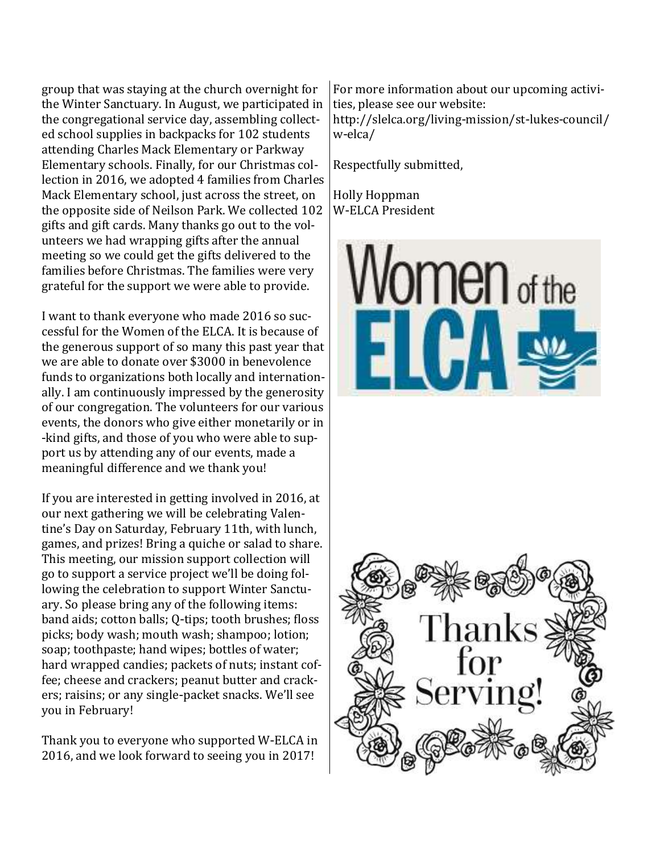group that was staying at the church overnight for the Winter Sanctuary. In August, we participated in the congregational service day, assembling collected school supplies in backpacks for 102 students attending Charles Mack Elementary or Parkway Elementary schools. Finally, for our Christmas collection in 2016, we adopted 4 families from Charles Mack Elementary school, just across the street, on the opposite side of Neilson Park. We collected 102 gifts and gift cards. Many thanks go out to the volunteers we had wrapping gifts after the annual meeting so we could get the gifts delivered to the families before Christmas. The families were very grateful for the support we were able to provide.

I want to thank everyone who made 2016 so successful for the Women of the ELCA. It is because of the generous support of so many this past year that we are able to donate over \$3000 in benevolence funds to organizations both locally and internationally. I am continuously impressed by the generosity of our congregation. The volunteers for our various events, the donors who give either monetarily or in -kind gifts, and those of you who were able to support us by attending any of our events, made a meaningful difference and we thank you!

If you are interested in getting involved in 2016, at our next gathering we will be celebrating Valentine's Day on Saturday, February 11th, with lunch, games, and prizes! Bring a quiche or salad to share. This meeting, our mission support collection will go to support a service project we'll be doing following the celebration to support Winter Sanctuary. So please bring any of the following items: band aids; cotton balls; Q-tips; tooth brushes; floss picks; body wash; mouth wash; shampoo; lotion; soap; toothpaste; hand wipes; bottles of water; hard wrapped candies; packets of nuts; instant coffee; cheese and crackers; peanut butter and crackers; raisins; or any single-packet snacks. We'll see you in February!

Thank you to everyone who supported W-ELCA in 2016, and we look forward to seeing you in 2017!

For more information about our upcoming activities, please see our website: http://slelca.org/living-mission/st-lukes-council/ w-elca/

Respectfully submitted,

Holly Hoppman W-ELCA President



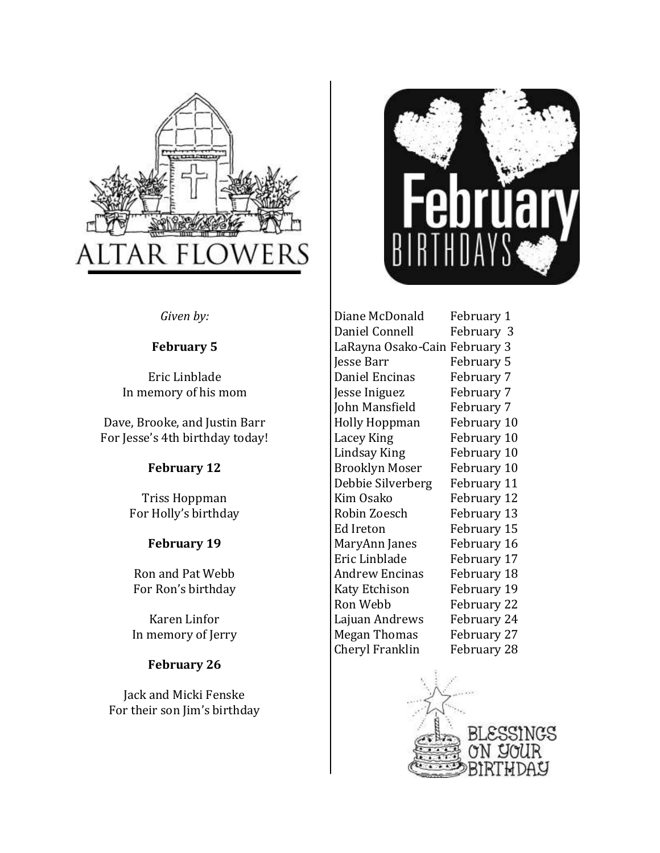



*Given by:*

#### **February 5**

Eric Linblade In memory of his mom

Dave, Brooke, and Justin Barr For Jesse's 4th birthday today!

### **February 12**

Triss Hoppman For Holly's birthday

### **February 19**

Ron and Pat Webb For Ron's birthday

Karen Linfor In memory of Jerry

### **February 26**

Jack and Micki Fenske For their son Jim's birthday Diane McDonald February 1 Daniel Connell February 3 LaRayna Osako-Cain February 3 Jesse Barr February 5 Daniel Encinas February 7 Jesse Iniguez February 7 John Mansfield February 7 Holly Hoppman February 10 Lacey King February 10 Lindsay King February 10 Brooklyn Moser February 10 Debbie Silverberg February 11 Kim Osako February 12 Robin Zoesch February 13 Ed Ireton February 15 MaryAnn Janes February 16 Eric Linblade February 17 Andrew Encinas February 18 Katy Etchison February 19 Ron Webb February 22 Lajuan Andrews February 24 Megan Thomas February 27 Cheryl Franklin February 28

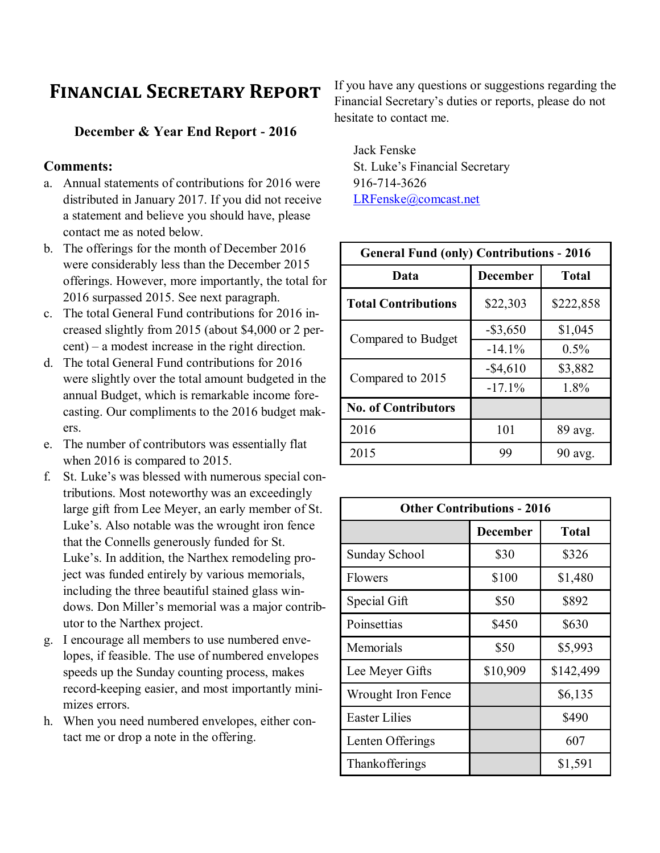### **Financial Secretary Report**

#### **December & Year End Report - 2016**

#### **Comments:**

- a. Annual statements of contributions for 2016 were distributed in January 2017. If you did not receive a statement and believe you should have, please contact me as noted below.
- b. The offerings for the month of December 2016 were considerably less than the December 2015 offerings. However, more importantly, the total for 2016 surpassed 2015. See next paragraph.
- c. The total General Fund contributions for 2016 increased slightly from 2015 (about \$4,000 or 2 percent) – a modest increase in the right direction.
- d. The total General Fund contributions for 2016 were slightly over the total amount budgeted in the annual Budget, which is remarkable income forecasting. Our compliments to the 2016 budget makers.
- e. The number of contributors was essentially flat when 2016 is compared to 2015.
- f. St. Luke's was blessed with numerous special contributions. Most noteworthy was an exceedingly large gift from Lee Meyer, an early member of St. Luke's. Also notable was the wrought iron fence that the Connells generously funded for St. Luke's. In addition, the Narthex remodeling project was funded entirely by various memorials, including the three beautiful stained glass windows. Don Miller's memorial was a major contributor to the Narthex project.
- g. I encourage all members to use numbered envelopes, if feasible. The use of numbered envelopes speeds up the Sunday counting process, makes record-keeping easier, and most importantly minimizes errors.
- h. When you need numbered envelopes, either contact me or drop a note in the offering.

If you have any questions or suggestions regarding the Financial Secretary's duties or reports, please do not hesitate to contact me.

Jack Fenske St. Luke's Financial Secretary 916-714-3626 [LRFenske@comcast.net](mailto:LRFenske@comcast.net)

| <b>General Fund (only) Contributions - 2016</b> |                 |              |  |  |
|-------------------------------------------------|-----------------|--------------|--|--|
| Data                                            | <b>December</b> | <b>Total</b> |  |  |
| <b>Total Contributions</b>                      | \$22,303        | \$222,858    |  |  |
| Compared to Budget                              | $-$ \$3,650     | \$1,045      |  |  |
|                                                 | $-14.1\%$       | $0.5\%$      |  |  |
| Compared to 2015                                | $-$ \$4,610     | \$3,882      |  |  |
|                                                 | $-17.1%$        | 1.8%         |  |  |
| <b>No. of Contributors</b>                      |                 |              |  |  |
| 2016                                            | 101             | 89 avg.      |  |  |
| 2015                                            | 99              | 90 avg.      |  |  |

| <b>Other Contributions - 2016</b> |                 |              |  |
|-----------------------------------|-----------------|--------------|--|
|                                   | <b>December</b> | <b>Total</b> |  |
| Sunday School                     | \$30            | \$326        |  |
| Flowers                           | \$100           | \$1,480      |  |
| Special Gift                      | \$50            | \$892        |  |
| Poinsettias                       | \$450           | \$630        |  |
| Memorials                         | \$50            | \$5,993      |  |
| Lee Meyer Gifts                   | \$10,909        | \$142,499    |  |
| <b>Wrought Iron Fence</b>         |                 | \$6,135      |  |
| <b>Easter Lilies</b>              |                 | \$490        |  |
| Lenten Offerings                  |                 | 607          |  |
| Thankofferings                    |                 | \$1,591      |  |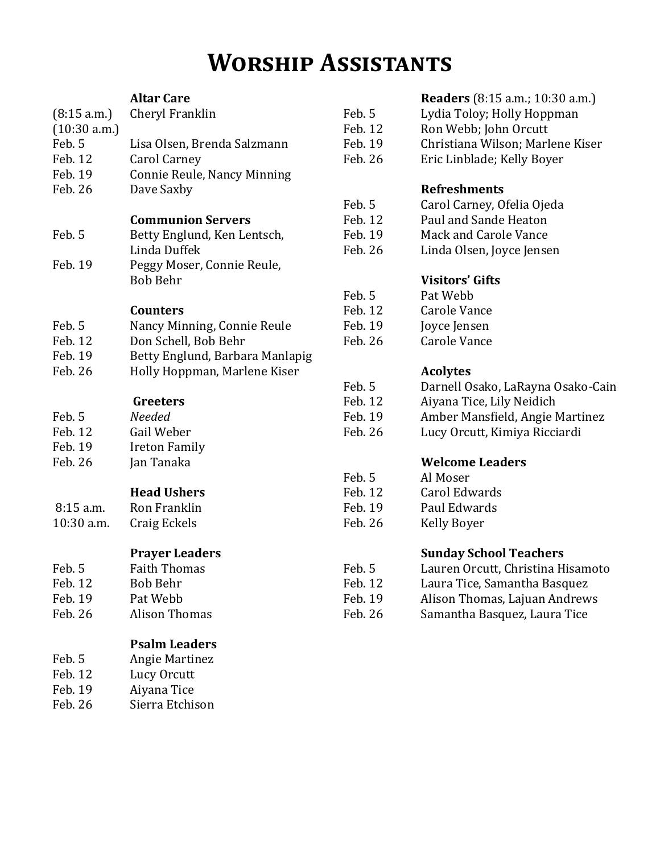# **Worship Assistants**

|              | <b>Altar Care</b>               |         | <b>Readers</b> (8:15 a.m.; 10:30 a.m.) |
|--------------|---------------------------------|---------|----------------------------------------|
| (8:15 a.m.)  | Cheryl Franklin                 | Feb. 5  | Lydia Toloy; Holly Hoppman             |
| (10:30 a.m.) |                                 | Feb. 12 | Ron Webb; John Orcutt                  |
| Feb. 5       | Lisa Olsen, Brenda Salzmann     | Feb. 19 | Christiana Wilson; Marlene Kiser       |
| Feb. 12      | <b>Carol Carney</b>             | Feb. 26 | Eric Linblade; Kelly Boyer             |
| Feb. 19      | Connie Reule, Nancy Minning     |         |                                        |
| Feb. 26      | Dave Saxby                      |         | <b>Refreshments</b>                    |
|              |                                 | Feb. 5  | Carol Carney, Ofelia Ojeda             |
|              | <b>Communion Servers</b>        | Feb. 12 | Paul and Sande Heaton                  |
| Feb. 5       | Betty Englund, Ken Lentsch,     | Feb. 19 | <b>Mack and Carole Vance</b>           |
|              | Linda Duffek                    | Feb. 26 | Linda Olsen, Joyce Jensen              |
| Feb. 19      | Peggy Moser, Connie Reule,      |         |                                        |
|              | Bob Behr                        |         | <b>Visitors' Gifts</b>                 |
|              |                                 | Feb. 5  | Pat Webb                               |
|              | <b>Counters</b>                 | Feb. 12 | Carole Vance                           |
| Feb. 5       | Nancy Minning, Connie Reule     | Feb. 19 | Joyce Jensen                           |
| Feb. 12      | Don Schell, Bob Behr            | Feb. 26 | <b>Carole Vance</b>                    |
| Feb. 19      | Betty Englund, Barbara Manlapig |         |                                        |
| Feb. 26      | Holly Hoppman, Marlene Kiser    |         | <b>Acolytes</b>                        |
|              |                                 | Feb. 5  | Darnell Osako, LaRayna Osako-Cain      |
|              | Greeters                        | Feb. 12 | Aiyana Tice, Lily Neidich              |
| Feb. 5       | Needed                          | Feb. 19 | Amber Mansfield, Angie Martinez        |
| Feb. 12      | Gail Weber                      | Feb. 26 | Lucy Orcutt, Kimiya Ricciardi          |
| Feb. 19      | <b>Ireton Family</b>            |         |                                        |
| Feb. 26      | Jan Tanaka                      |         | <b>Welcome Leaders</b>                 |
|              |                                 | Feb. 5  | Al Moser                               |
|              | <b>Head Ushers</b>              | Feb. 12 | <b>Carol Edwards</b>                   |
| 8:15 a.m.    | Ron Franklin                    | Feb. 19 | Paul Edwards                           |
| 10:30 a.m.   | Craig Eckels                    | Feb. 26 | <b>Kelly Boyer</b>                     |
|              | <b>Prayer Leaders</b>           |         | <b>Sunday School Teachers</b>          |
| Feb. 5       | <b>Faith Thomas</b>             | Feb. 5  | Lauren Orcutt, Christina Hisamoto      |
| Feb. 12      | <b>Bob Behr</b>                 | Feb. 12 | Laura Tice, Samantha Basquez           |
| Feb. 19      | Pat Webb                        | Feb. 19 | Alison Thomas, Lajuan Andrews          |
| Feb. 26      | <b>Alison Thomas</b>            | Feb. 26 | Samantha Basquez, Laura Tice           |
|              | <b>Psalm Leaders</b>            |         |                                        |
| Feb. 5       | Angie Martinez                  |         |                                        |
| Feb. 12      | Lucy Orcutt                     |         |                                        |
|              |                                 |         |                                        |

- Feb. 19 Aiyana Tice
- Feb. 26 Sierra Etchison